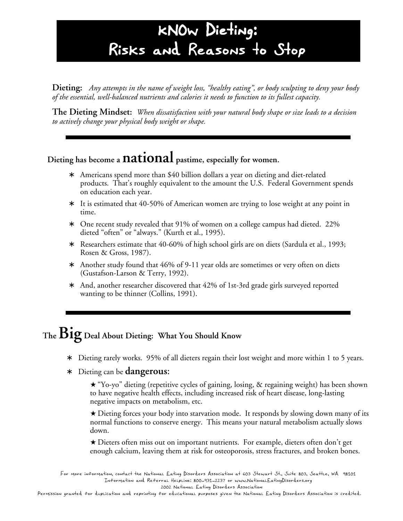## kNOw Dieting: Risks and Reasons to Stop

**Dieting:** *Any attempts in the name of weight loss, "healthy eating", or body sculpting to deny your body of the essential, well-balanced nutrients and calories it needs to function to its fullest capacity.*

**The Dieting Mindset:** *When dissatisfaction with your natural body shape or size leads to a decision to actively change your physical body weight or shape.*

#### **Dieting has become a national pastime, especially for women.**

- Americans spend more than \$40 billion dollars a year on dieting and diet-related products. That's roughly equivalent to the amount the U.S. Federal Government spends on education each year.
- ∗ It is estimated that 40-50% of American women are trying to lose weight at any point in time.
- ∗ One recent study revealed that 91% of women on a college campus had dieted. 22% dieted "often" or "always." (Kurth et al., 1995).
- ∗ Researchers estimate that 40-60% of high school girls are on diets (Sardula et al., 1993; Rosen & Gross, 1987).
- ∗ Another study found that 46% of 9-11 year olds are sometimes or very often on diets (Gustafson-Larson & Terry, 1992).
- ∗ And, another researcher discovered that 42% of 1st-3rd grade girls surveyed reported wanting to be thinner (Collins, 1991).

### **The Big Deal About Dieting: What You Should Know**

- Dieting rarely works. 95% of all dieters regain their lost weight and more within 1 to 5 years.
- ∗ Dieting can be **dangerous**:

★ "Yo-yo" dieting (repetitive cycles of gaining, losing, & regaining weight) has been shown to have negative health effects, including increased risk of heart disease, long-lasting negative impacts on metabolism, etc.

★ Dieting forces your body into starvation mode. It responds by slowing down many of its normal functions to conserve energy. This means your natural metabolism actually slows down.

★ Dieters often miss out on important nutrients. For example, dieters often don't get enough calcium, leaving them at risk for osteoporosis, stress fractures, and broken bones.

For more information, contact the National Eating Disorders Association at 603 Stewart St., Suite 803, Seattle, WA 98101 Information and Referral Helpline: 800-931-2237 or www.NationalEatingDisorders.org 2002 National Eating Disorders Association

Permission granted for duplication and reprinting for educational purposes given the National Eating Disorders Association is credited.